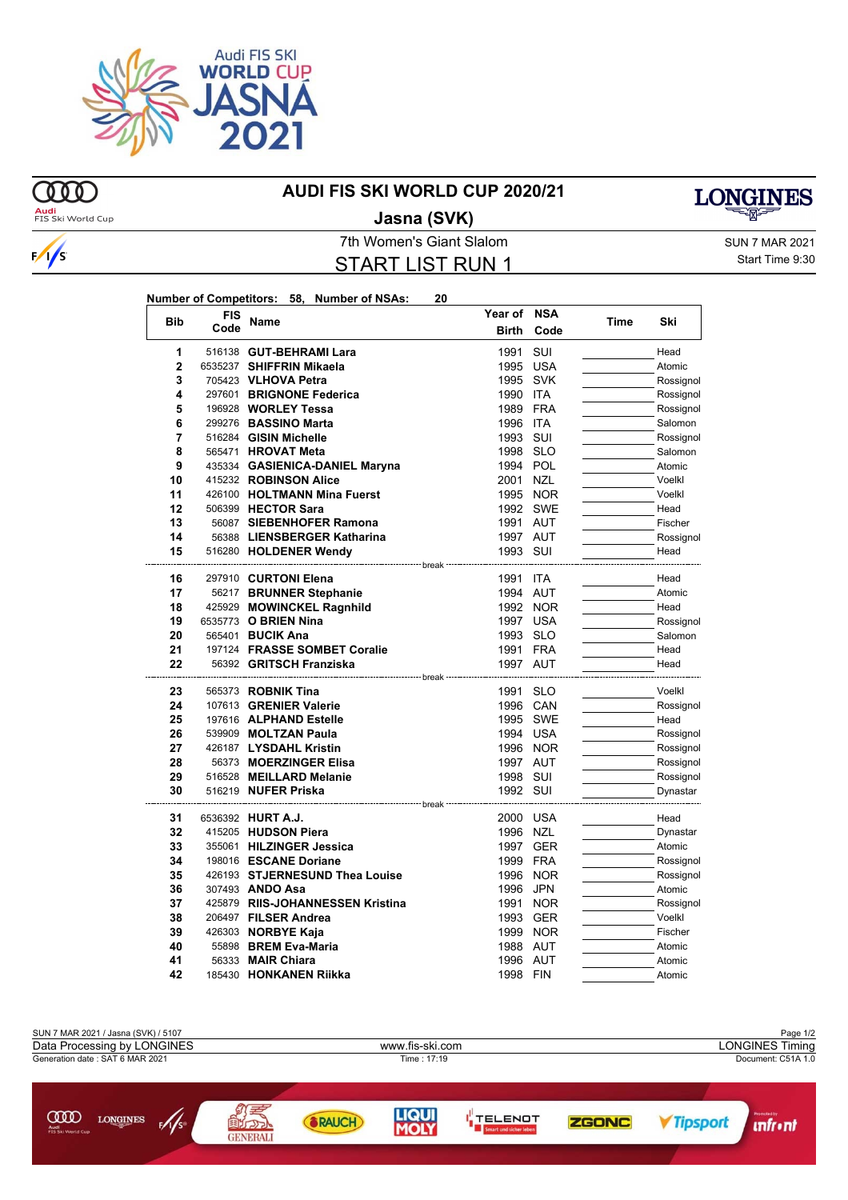

## **MD**

 $\sqrt{s}$ 

## **AUDI FIS SKI WORLD CUP 2020/21**



 $\overline{\phantom{a}}$ 

**Audi**<br>FIS Ski World Cup

## **Jasna (SVK)**

7th Women's Giant Slalom SUN 7 MAR 2021 START LIST RUN 1

Start Time 9:30

| Number of Competitors: 58, Number of NSAs: |  | 20 |
|--------------------------------------------|--|----|
|                                            |  |    |

| <b>Bib</b>     | FIS  | <b>Name</b>                      | Year of NSA  |            | Time | Ski       |
|----------------|------|----------------------------------|--------------|------------|------|-----------|
|                | Code |                                  | <b>Birth</b> | Code       |      |           |
| 1              |      | 516138 GUT-BEHRAMI Lara          | 1991         | SUI        |      | Head      |
| $\overline{2}$ |      | 6535237 SHIFFRIN Mikaela         | 1995         | USA        |      | Atomic    |
| 3              |      | 705423 VLHOVA Petra              | 1995 SVK     |            |      | Rossignol |
| 4              |      | 297601 BRIGNONE Federica         | 1990         | ITA        |      | Rossignol |
| 5              |      | 196928 WORLEY Tessa              | 1989 FRA     |            |      | Rossignol |
| 6              |      | 299276 BASSINO Marta             | 1996 ITA     |            |      | Salomon   |
| 7              |      | 516284 GISIN Michelle            | 1993         | SUI        |      | Rossignol |
| 8              |      | 565471 <b>HROVAT Meta</b>        | 1998 SLO     |            |      | Salomon   |
| 9              |      | 435334 GASIENICA-DANIEL Maryna   | 1994 POL     |            |      | Atomic    |
| 10             |      | 415232 ROBINSON Alice            | 2001 NZL     |            |      | Voelkl    |
| 11             |      | 426100 HOLTMANN Mina Fuerst      |              | 1995 NOR   |      | Voelkl    |
| 12             |      | 506399 HECTOR Sara               |              | 1992 SWE   |      | Head      |
| 13             |      | 56087 SIEBENHOFER Ramona         | 1991 AUT     |            |      | Fischer   |
| 14             |      | 56388 LIENSBERGER Katharina      | 1997 AUT     |            |      | Rossignol |
| 15             |      | 516280 HOLDENER Wendy            | 1993 SUI     |            |      | Head      |
|                |      | ---------------- break           |              |            |      |           |
| 16             |      | 297910 CURTONI Elena             | 1991 ITA     |            |      | Head      |
| 17             |      | 56217 BRUNNER Stephanie          | 1994 AUT     |            |      | Atomic    |
| 18             |      | 425929 MOWINCKEL Ragnhild        |              | 1992 NOR   |      | Head      |
| 19             |      | 6535773 O BRIEN Nina             | 1997 USA     |            |      | Rossignol |
| 20             |      | 565401 BUCIK Ana                 | 1993 SLO     |            |      | Salomon   |
| 21             |      | 197124 FRASSE SOMBET Coralie     | 1991 FRA     |            |      | Head      |
| 22             |      | 56392 GRITSCH Franziska          | 1997 AUT     |            |      | Head      |
| 23             |      | 565373 ROBNIK Tina               | 1991 SLO     |            |      | Voelkl    |
| 24             |      | 107613 GRENIER Valerie           | 1996 CAN     |            |      | Rossignol |
| 25             |      | 197616 ALPHAND Estelle           |              | 1995 SWE   |      | Head      |
| 26             |      | 539909 MOLTZAN Paula             | 1994 USA     |            |      | Rossignol |
| 27             |      | 426187 LYSDAHL Kristin           |              | 1996 NOR   |      | Rossignol |
| 28             |      | 56373 MOERZINGER Elisa           | 1997 AUT     |            |      | Rossignol |
| 29             |      | 516528 MEILLARD Melanie          | 1998 SUI     |            |      | Rossignol |
| 30             |      | 516219 NUFER Priska              | 1992 SUI     |            |      | Dynastar  |
| 31             |      | 6536392 HURT A.J.                | 2000 USA     |            |      | Head      |
| 32             |      | 415205 HUDSON Piera              | 1996 NZL     |            |      | Dynastar  |
| 33             |      | 355061 HILZINGER Jessica         |              | 1997 GER   |      | Atomic    |
| 34             |      | 198016 ESCANE Doriane            | 1999 FRA     |            |      | Rossignol |
| 35             |      | 426193 STJERNESUND Thea Louise   |              | 1996 NOR   |      | Rossignol |
| 36             |      | 307493 ANDO Asa                  | 1996         | JPN        |      | Atomic    |
| 37             |      | 425879 RIIS-JOHANNESSEN Kristina | 1991         | <b>NOR</b> |      | Rossignol |
| 38             |      | 206497 FILSER Andrea             | 1993         | GER        |      | Voelkl    |
| 39             |      | 426303 <b>NORBYE Kaja</b>        |              | 1999 NOR   |      | Fischer   |
| 40             |      | 55898 BREM Eva-Maria             | 1988 AUT     |            |      | Atomic    |
| 41             |      | 56333 MAIR Chiara                | 1996 AUT     |            |      | Atomic    |
| 42             |      | 185430 HONKANEN Riikka           | 1998 FIN     |            |      | Atomic    |
|                |      |                                  |              |            |      |           |

| SUN 7 MAR 2021 / Jasna (SVK) / 5107                                      |                         |              |              |                                          |                        |                        | Page 1/2 |
|--------------------------------------------------------------------------|-------------------------|--------------|--------------|------------------------------------------|------------------------|------------------------|----------|
| Data Processing by LONGINES                                              | www.fis-ski.com         |              |              |                                          | <b>LONGINES Timing</b> |                        |          |
| Generation date: SAT 6 MAR 2021                                          | Time: 17:19             |              |              | Document: C51A 1.0                       |                        |                        |          |
|                                                                          |                         |              |              |                                          |                        |                        |          |
|                                                                          |                         |              |              |                                          |                        |                        |          |
| <b>COO</b><br>$\mathscr{N}_{s}$<br>LONGINES<br>Audi<br>FIS Ski World Cup | 国内の小<br><b>GENERALI</b> | <b>RAUCH</b> | <b>LIQUI</b> | <b>TELENOT</b><br>Smart und sicher leber | <b>ZGONC</b>           | <i><b>Tipsport</b></i> | nfr•nt   |